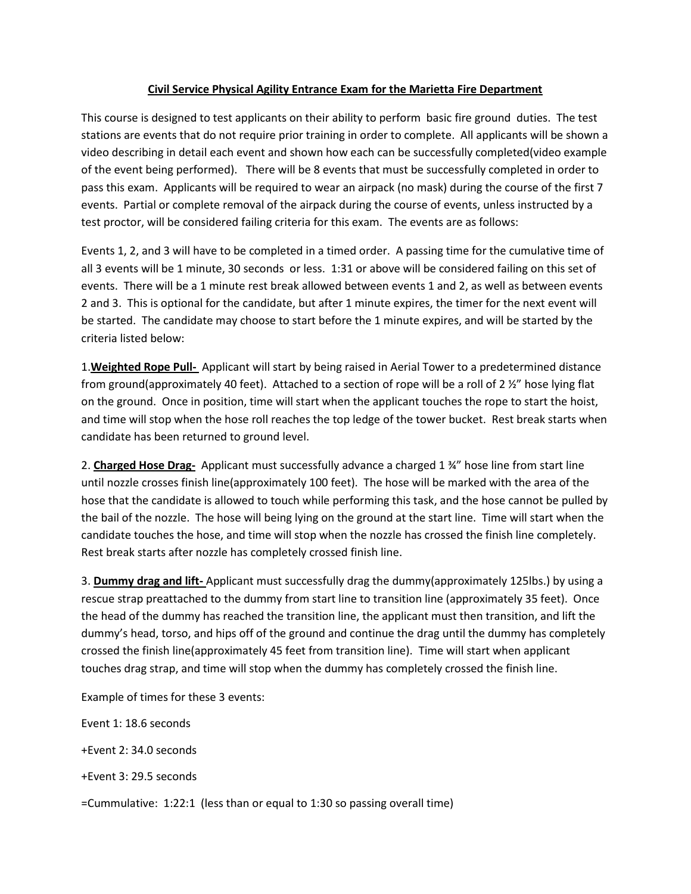## **Civil Service Physical Agility Entrance Exam for the Marietta Fire Department**

This course is designed to test applicants on their ability to perform basic fire ground duties. The test stations are events that do not require prior training in order to complete. All applicants will be shown a video describing in detail each event and shown how each can be successfully completed(video example of the event being performed). There will be 8 events that must be successfully completed in order to pass this exam. Applicants will be required to wear an airpack (no mask) during the course of the first 7 events. Partial or complete removal of the airpack during the course of events, unless instructed by a test proctor, will be considered failing criteria for this exam. The events are as follows:

Events 1, 2, and 3 will have to be completed in a timed order. A passing time for the cumulative time of all 3 events will be 1 minute, 30 seconds or less. 1:31 or above will be considered failing on this set of events. There will be a 1 minute rest break allowed between events 1 and 2, as well as between events 2 and 3. This is optional for the candidate, but after 1 minute expires, the timer for the next event will be started. The candidate may choose to start before the 1 minute expires, and will be started by the criteria listed below:

1.**Weighted Rope Pull-** Applicant will start by being raised in Aerial Tower to a predetermined distance from ground(approximately 40 feet). Attached to a section of rope will be a roll of 2 ½" hose lying flat on the ground. Once in position, time will start when the applicant touches the rope to start the hoist, and time will stop when the hose roll reaches the top ledge of the tower bucket. Rest break starts when candidate has been returned to ground level.

2. **Charged Hose Drag-** Applicant must successfully advance a charged 1 ¾" hose line from start line until nozzle crosses finish line(approximately 100 feet). The hose will be marked with the area of the hose that the candidate is allowed to touch while performing this task, and the hose cannot be pulled by the bail of the nozzle. The hose will being lying on the ground at the start line. Time will start when the candidate touches the hose, and time will stop when the nozzle has crossed the finish line completely. Rest break starts after nozzle has completely crossed finish line.

3. **Dummy drag and lift-** Applicant must successfully drag the dummy(approximately 125lbs.) by using a rescue strap preattached to the dummy from start line to transition line (approximately 35 feet). Once the head of the dummy has reached the transition line, the applicant must then transition, and lift the dummy's head, torso, and hips off of the ground and continue the drag until the dummy has completely crossed the finish line(approximately 45 feet from transition line). Time will start when applicant touches drag strap, and time will stop when the dummy has completely crossed the finish line.

Example of times for these 3 events:

Event 1: 18.6 seconds +Event 2: 34.0 seconds +Event 3: 29.5 seconds =Cummulative: 1:22:1 (less than or equal to 1:30 so passing overall time)